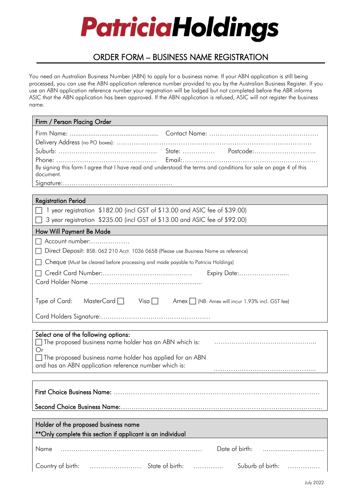# **PatriciaHoldings**

# ORDER FORM – BUSINESS NAME REGISTRATION

You need an Australian Business Number (ABN) to apply for a business name. If your ABN application is still being processed, you can use the ABN application reference number provided to you by the Australian Business Register. If you use an ABN application reference number your registration will be lodged but not completed before the ABR informs ASIC that the ABN application has been approved. If the ABN application is refused, ASIC will not register the business name.

| Firm / Person Placing Order                                                                                                   |  |  |  |  |
|-------------------------------------------------------------------------------------------------------------------------------|--|--|--|--|
|                                                                                                                               |  |  |  |  |
|                                                                                                                               |  |  |  |  |
|                                                                                                                               |  |  |  |  |
|                                                                                                                               |  |  |  |  |
| By signing this form I agree that I have read and understood the terms and conditions for sale on page 4 of this<br>document. |  |  |  |  |
|                                                                                                                               |  |  |  |  |
|                                                                                                                               |  |  |  |  |
| <b>Registration Period</b>                                                                                                    |  |  |  |  |
| 1 year registration \$182.00 (incl GST of \$13.00 and ASIC fee of \$39.00)                                                    |  |  |  |  |
| 3 year registration \$235.00 (incl GST of \$13.00 and ASIC fee of \$92.00)                                                    |  |  |  |  |
| How Will Payment Be Made                                                                                                      |  |  |  |  |
| Account number:                                                                                                               |  |  |  |  |
| Direct Deposit: BSB: 062 210 Acct. 1036 0658 (Please use Business Name as reference)                                          |  |  |  |  |
| Cheque (Must be cleared before processing and made payable to Patricia Holdings)                                              |  |  |  |  |
| Expiry Date:                                                                                                                  |  |  |  |  |
|                                                                                                                               |  |  |  |  |
| MasterCard   Visa   Amex   (NB: Amex will incur 1.93% incl. GST fee)<br>Type of Card:                                         |  |  |  |  |
|                                                                                                                               |  |  |  |  |
| Select one of the following options:<br>$\Box$ The proposed business name holder has an ABN which is:<br>Or                   |  |  |  |  |
| $\overline{\phantom{x}}$ The proposed business name holder has applied for an ABN                                             |  |  |  |  |
| and has an ABN application reference number which is:                                                                         |  |  |  |  |
|                                                                                                                               |  |  |  |  |
|                                                                                                                               |  |  |  |  |
|                                                                                                                               |  |  |  |  |
|                                                                                                                               |  |  |  |  |
| Holder of the proposed business name                                                                                          |  |  |  |  |
| **Only complete this section if applicant is an individual                                                                    |  |  |  |  |
| Date of birth:<br>Name                                                                                                        |  |  |  |  |
| Suburb of birth:<br>State of birth:<br>Country of birth:<br>.<br>.                                                            |  |  |  |  |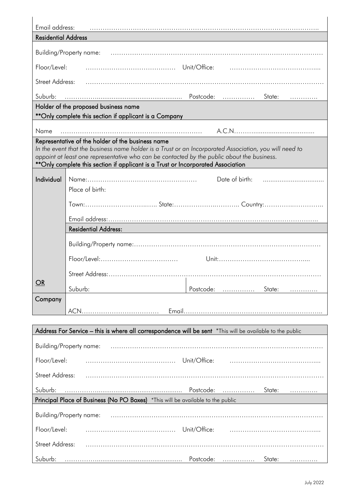| Email address:<br><b>Residential Address</b>                                                                                                                                                                                                                                                                                                   |                                        |              |        |  |  |
|------------------------------------------------------------------------------------------------------------------------------------------------------------------------------------------------------------------------------------------------------------------------------------------------------------------------------------------------|----------------------------------------|--------------|--------|--|--|
|                                                                                                                                                                                                                                                                                                                                                |                                        |              |        |  |  |
| Building/Property name:                                                                                                                                                                                                                                                                                                                        |                                        |              |        |  |  |
| Floor/Level:                                                                                                                                                                                                                                                                                                                                   |                                        |              |        |  |  |
| <b>Street Address:</b>                                                                                                                                                                                                                                                                                                                         |                                        |              |        |  |  |
| Suburb:<br>.                                                                                                                                                                                                                                                                                                                                   |                                        |              |        |  |  |
| Holder of the proposed business name                                                                                                                                                                                                                                                                                                           |                                        |              |        |  |  |
| **Only complete this section if applicant is a Company                                                                                                                                                                                                                                                                                         |                                        |              |        |  |  |
| Name                                                                                                                                                                                                                                                                                                                                           |                                        |              |        |  |  |
| Representative of the holder of the business name<br>In the event that the business name holder is a Trust or an Incorporated Association, you will need to<br>appoint at least one representative who can be contacted by the public about the business.<br>** Only complete this section if applicant is a Trust or Incorporated Association |                                        |              |        |  |  |
| Individual                                                                                                                                                                                                                                                                                                                                     | Date of birth:<br>Place of birth:      |              |        |  |  |
|                                                                                                                                                                                                                                                                                                                                                |                                        |              |        |  |  |
|                                                                                                                                                                                                                                                                                                                                                |                                        |              |        |  |  |
|                                                                                                                                                                                                                                                                                                                                                | <b>Residential Address:</b>            |              |        |  |  |
|                                                                                                                                                                                                                                                                                                                                                |                                        |              |        |  |  |
|                                                                                                                                                                                                                                                                                                                                                |                                        |              |        |  |  |
|                                                                                                                                                                                                                                                                                                                                                | the control of the control of the con- |              |        |  |  |
| $\overline{\mathsf{OR}}$                                                                                                                                                                                                                                                                                                                       | Suburb:                                | Postcode:    | State: |  |  |
| Company                                                                                                                                                                                                                                                                                                                                        |                                        |              |        |  |  |
| Address For Service - this is where all correspondence will be sent *This will be available to the public                                                                                                                                                                                                                                      |                                        |              |        |  |  |
|                                                                                                                                                                                                                                                                                                                                                | <b>Building/Property name:</b>         |              |        |  |  |
| Floor/Level:                                                                                                                                                                                                                                                                                                                                   |                                        | Unit/Office: |        |  |  |
| Street Address:                                                                                                                                                                                                                                                                                                                                |                                        |              |        |  |  |
| Suburb:<br>Postcode:<br>State:<br>.                                                                                                                                                                                                                                                                                                            |                                        |              |        |  |  |
| .<br>Principal Place of Business (No PO Boxes) *This will be available to the public                                                                                                                                                                                                                                                           |                                        |              |        |  |  |
| <b>Building/Property name:</b>                                                                                                                                                                                                                                                                                                                 |                                        |              |        |  |  |
| Unit/Office:<br>Floor/Level:                                                                                                                                                                                                                                                                                                                   |                                        |              |        |  |  |
| Street Address:                                                                                                                                                                                                                                                                                                                                |                                        |              |        |  |  |
|                                                                                                                                                                                                                                                                                                                                                |                                        |              |        |  |  |
| Suburb:                                                                                                                                                                                                                                                                                                                                        |                                        | Postcode:    | State: |  |  |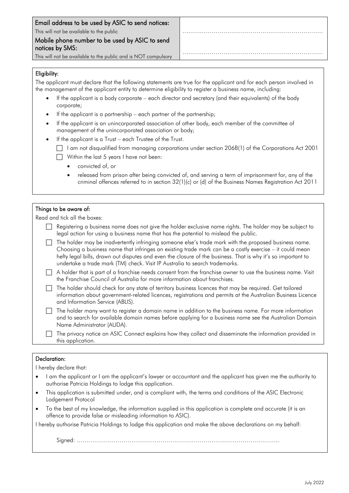| Email address to be used by ASIC to send notices:<br>This will not be available to the public<br>Mobile phone number to be used by ASIC to send<br>notices by SMS: |  |
|--------------------------------------------------------------------------------------------------------------------------------------------------------------------|--|
| This will not be available to the public and is NOT compulsory                                                                                                     |  |
|                                                                                                                                                                    |  |

#### Eligibility:

The applicant must declare that the following statements are true for the applicant and for each person involved in the management of the applicant entity to determine eligibility to register a business name, including:

- If the applicant is a body corporate each director and secretary (and their equivalents) of the body corporate;
- If the applicant is a partnership each partner of the partnership;
- If the applicant is an unincorporated association of other body, each member of the committee of management of the unincorporated association or body;
- If the applicant is a Trust each Trustee of the Trust.
	- □ I am not disqualified from managing corporations under section 206B(1) of the Corporations Act 2001
	- $\Box$  Within the last 5 years I have not been:
		- convicted of, or
		- released from prison after being convicted of, and serving a term of imprisonment for, any of the criminal offences referred to in section 32(1)(c) or (d) of the Business Names Registration Act 2011

#### Things to be aware of:

Read and tick all the boxes:

 $\Box$  Registering a business name does not give the holder exclusive name rights. The holder may be subject to legal action for using a business name that has the potential to mislead the public.

 The holder may be inadvertently infringing someone else's trade mark with the proposed business name. Choosing a business name that infringes an existing trade mark can be a costly exercise – it could mean hefty legal bills, drawn out disputes and even the closure of the business. That is why it's so important to undertake a trade mark (TM) check. Visit IP Australia to search trademarks.

 A holder that is part of a franchise needs consent from the franchise owner to use the business name. Visit the Franchise Council of Australia for more information about franchises.

 The holder should check for any state of territory business licences that may be required. Get tailored information about government-related licences, registrations and permits at the Australian Business Licence and Information Service (ABLIS).

- The holder many want to register a domain name in addition to the business name. For more information and to search for available domain names before applying for a business name see the Australian Domain Name Administrator (AUDA).
- The privacy notice on ASIC Connect explains how they collect and disseminate the information provided in this application.

#### Declaration:

I hereby declare that:

- I am the applicant or I am the applicant's lawyer or accountant and the applicant has given me the authority to authorise Patricia Holdings to lodge this application.
- This application is submitted under, and is compliant with, the terms and conditions of the ASIC Electronic Lodgement Protocol
- To the best of my knowledge, the information supplied in this application is complete and accurate (it is an offence to provide false or misleading information to ASIC).

I hereby authorise Patricia Holdings to lodge this application and make the above declarations on my behalf:

Signed: …………………………………………………………………………………………..